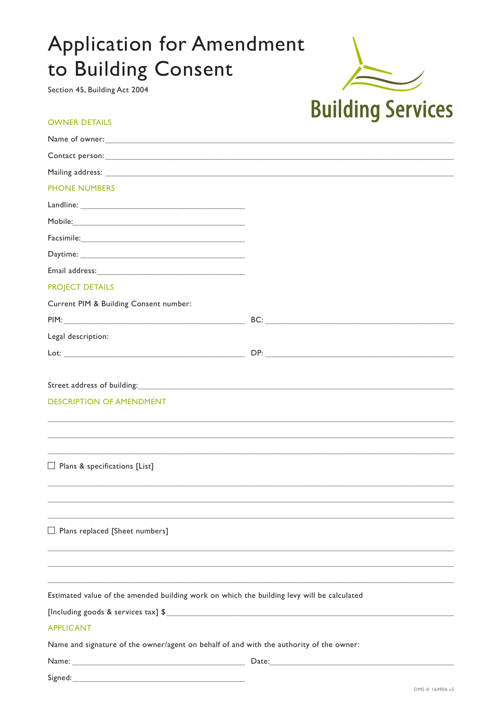# **Application for Amendment** to Building Consent

Section 45, Building Act 2004

### **OWNER DETAILS**

| <b>Building Services</b> |
|--------------------------|

| Name of owner: Name of owners and the second state of the second state of the second state of the second state of the second state of the second state of the second state of the second state of the second state of the seco |       |
|--------------------------------------------------------------------------------------------------------------------------------------------------------------------------------------------------------------------------------|-------|
|                                                                                                                                                                                                                                |       |
|                                                                                                                                                                                                                                |       |
| <b>PHONE NUMBERS</b>                                                                                                                                                                                                           |       |
|                                                                                                                                                                                                                                |       |
|                                                                                                                                                                                                                                |       |
| Facsimile: https://www.archive.com/archive.com/archive.com/archive.com/archive.com/archive.com/archive.com/archive.com/archive.com/archive.com/archive.com/archive.com/archive.com/archive.com/archive.com/archive.com/archive |       |
|                                                                                                                                                                                                                                |       |
|                                                                                                                                                                                                                                |       |
| <b>PROJECT DETAILS</b>                                                                                                                                                                                                         |       |
| Current PIM & Building Consent number:                                                                                                                                                                                         |       |
|                                                                                                                                                                                                                                |       |
| Legal description:                                                                                                                                                                                                             |       |
| Lot: with the contract of the contract of the contract of the contract of the contract of the contract of the contract of the contract of the contract of the contract of the contract of the contract of the contract of the  |       |
|                                                                                                                                                                                                                                |       |
| Street address of building: North Communications and the communications of the communications of the communications of the communications of the communications of the communications of the communications of the communicati |       |
| <b>DESCRIPTION OF AMENDMENT</b>                                                                                                                                                                                                |       |
|                                                                                                                                                                                                                                |       |
|                                                                                                                                                                                                                                |       |
|                                                                                                                                                                                                                                |       |
| $\Box$ Plans & specifications [List]                                                                                                                                                                                           |       |
|                                                                                                                                                                                                                                |       |
|                                                                                                                                                                                                                                |       |
|                                                                                                                                                                                                                                |       |
| $\Box$ Plans replaced [Sheet numbers]                                                                                                                                                                                          |       |
|                                                                                                                                                                                                                                |       |
|                                                                                                                                                                                                                                |       |
|                                                                                                                                                                                                                                |       |
| Estimated value of the amended building work on which the building levy will be calculated                                                                                                                                     |       |
|                                                                                                                                                                                                                                |       |
| <b>APPLICANT</b>                                                                                                                                                                                                               |       |
| Name and signature of the owner/agent on behalf of and with the authority of the owner:                                                                                                                                        |       |
|                                                                                                                                                                                                                                | Date: |

Signed: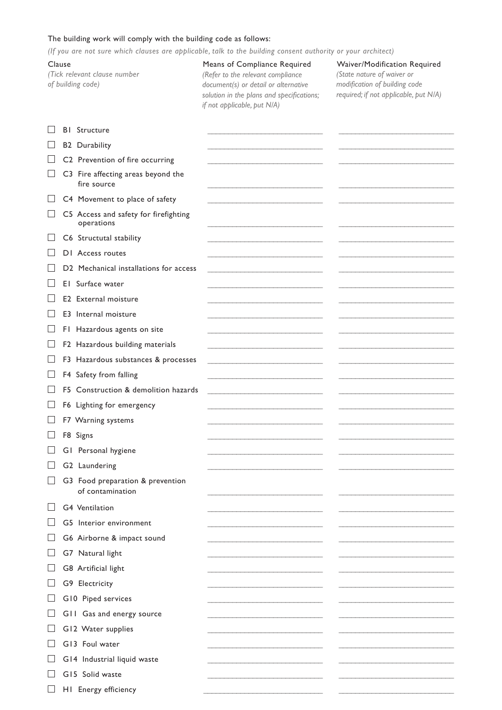#### The building work will comply with the building code as follows:

*(If you are not sure which clauses are applicable, talk to the building consent authority or your architect)*

*(Tick relevant clause number of building code)*

### Clause Means of Compliance Required Waiver/Modification Required *(Refer to the relevant compliance document(s) or detail or alternative solution in the plans and specifications; if not applicable, put N/A)*

*(State nature of waiver or modification of building code required; if not applicable, put N/A)*

|        | <b>BI</b> Structure                                  |  |
|--------|------------------------------------------------------|--|
|        | <b>B2</b> Durability                                 |  |
|        | C2 Prevention of fire occurring                      |  |
|        | C3 Fire affecting areas beyond the<br>fire source    |  |
|        | C4 Movement to place of safety                       |  |
|        | C5 Access and safety for firefighting<br>operations  |  |
|        | C6 Structutal stability                              |  |
|        | DI Access routes                                     |  |
|        | D2 Mechanical installations for access               |  |
|        | El Surface water                                     |  |
|        | E2 External moisture                                 |  |
|        | E3 Internal moisture                                 |  |
|        | FI Hazardous agents on site                          |  |
|        | F2 Hazardous building materials                      |  |
|        | F3 Hazardous substances & processes                  |  |
|        | F4 Safety from falling                               |  |
|        | F5 Construction & demolition hazards                 |  |
|        | F6 Lighting for emergency                            |  |
|        | F7 Warning systems                                   |  |
|        | F8 Signs                                             |  |
|        | GI Personal hygiene                                  |  |
|        | G2 Laundering                                        |  |
|        | G3 Food preparation & prevention<br>of contamination |  |
| $\Box$ | G4 Ventilation                                       |  |
|        | G5 Interior environment                              |  |
|        | G6 Airborne & impact sound                           |  |
|        | G7 Natural light                                     |  |
|        | G8 Artificial light                                  |  |
|        | G9 Electricity                                       |  |
|        | G10 Piped services                                   |  |
|        | G11 Gas and energy source                            |  |
|        | G12 Water supplies                                   |  |
|        | G13 Foul water                                       |  |
|        | G14 Industrial liquid waste                          |  |
|        | G15 Solid waste                                      |  |
|        | HI Energy efficiency                                 |  |
|        |                                                      |  |